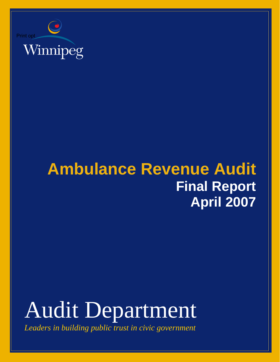

## **Ambulance Revenue Audit Final Report April 2007**

# Audit Department

*Leaders in building public trust in civic government*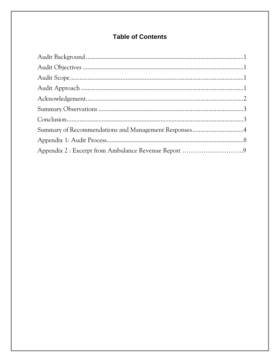### **Table of Contents**

| Summary of Recommendations and Management Responses4 |  |
|------------------------------------------------------|--|
|                                                      |  |
| Appendix 2 : Excerpt from Ambulance Revenue Report 9 |  |
|                                                      |  |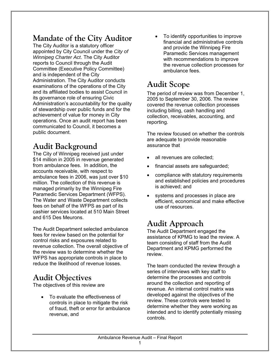### **Mandate of the City Auditor**

The City Auditor is a statutory officer appointed by City Council under the *City of Winnipeg Charter Act*. The City Auditor reports to Council through the Audit Committee (Executive Policy Committee) and is independent of the City Administration. The City Auditor conducts examinations of the operations of the City and its affiliated bodies to assist Council in its governance role of ensuring Civic Administration's accountability for the quality of stewardship over public funds and for the achievement of value for money in City operations. Once an audit report has been communicated to Council, it becomes a public document.

### **Audit Background**

The City of Winnipeg received just under \$14 million in 2005 in revenue generated from ambulance fees. In addition, the accounts receivable, with respect to ambulance fees in 2006, was just over \$10 million. The collection of this revenue is managed primarily by the Winnipeg Fire Paramedic Services Department (WFPS). The Water and Waste Department collects fees on behalf of the WFPS as part of its cashier services located at 510 Main Street and 615 Des Meurons.

The Audit Department selected ambulance fees for review based on the potential for control risks and exposures related to revenue collection. The overall objective of the review was to determine whether the WFPS has appropriate controls in place to reduce the likelihood of revenue losses.

### **Audit Objectives**

The objectives of this review are

• To evaluate the effectiveness of controls in place to mitigate the risk of fraud, theft or error for ambulance revenue, and

• To identify opportunities to improve financial and administrative controls and provide the Winnipeg Fire Paramedic Services management with recommendations to improve the revenue collection processes for ambulance fees.

### **Audit Scope**

The period of review was from December 1, 2005 to September 30, 2006. The review covered the revenue collection processes including billing, cash handling and collection, receivables, accounting, and reporting.

The review focused on whether the controls are adequate to provide reasonable assurance that

- all revenues are collected;
- financial assets are safeguarded;
- compliance with statutory requirements and established policies and procedures is achieved; and
- systems and processes in place are efficient, economical and make effective use of resources.

### **Audit Approach**

The Audit Department engaged the assistance of KPMG to lead the review. A team consisting of staff from the Audit Department and KPMG performed the review.

The team conducted the review through a series of interviews with key staff to determine the processes and controls around the collection and reporting of revenue. An internal control matrix was developed against the objectives of the review. These controls were tested to determine whether they were working as intended and to identify potentially missing controls.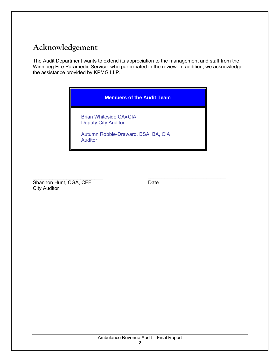### **Acknowledgement**

The Audit Department wants to extend its appreciation to the management and staff from the Winnipeg Fire Paramedic Service who participated in the review. In addition, we acknowledge the assistance provided by KPMG LLP.

#### **Members of the Audit Team**

Brian Whiteside CA●CIA Deputy City Auditor

Autumn Robbie-Draward, BSA, BA, CIA Auditor

\_\_\_\_\_\_\_\_\_\_\_\_\_\_\_\_\_\_\_\_\_\_\_\_\_ *\_\_\_\_\_\_\_\_\_\_\_\_\_\_\_\_\_\_\_\_\_\_\_\_\_\_\_\_* Shannon Hunt, CGA, CFE Date City Auditor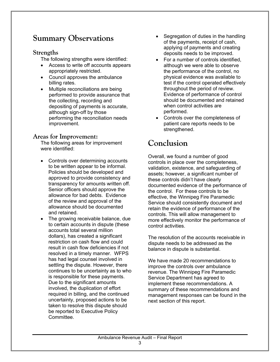### **Summary Observations**

#### **Strengths**

The following strengths were identified:

- Access to write off accounts appears appropriately restricted.
- Council approves the ambulance billing rates.
- Multiple reconciliations are being performed to provide assurance that the collecting, recording and depositing of payments is accurate, although sign-off by those performing the reconciliation needs improvement.

#### **Areas for Improvement:**

The following areas for improvement were identified:

- Controls over determining accounts to be written appear to be informal. Policies should be developed and approved to provide consistency and transparency for amounts written off. Senior officers should approve the allowance for bad debts. Evidence of the review and approval of the allowance should be documented and retained.
- The growing receivable balance, due to certain accounts in dispute (these accounts total several million dollars), has created a significant restriction on cash flow and could result in cash flow deficiencies if not resolved in a timely manner. WFPS has had legal counsel involved in settling the dispute. However, there continues to be uncertainty as to who is responsible for these payments. Due to the significant amounts involved, the duplication of effort required in billing, and the continued uncertainty, proposed actions to be taken to resolve this dispute should be reported to Executive Policy Committee.
- Segregation of duties in the handling of the payments, receipt of cash, applying of payments and creating deposits needs to be improved.
- For a number of controls identified, although we were able to observe the performance of the control, no physical evidence was available to test if the control operated effectively throughout the period of review. Evidence of performance of control should be documented and retained when control activities are performed.
- Controls over the completeness of patient care reports needs to be strengthened.

### **Conclusion**

Overall, we found a number of good controls in place over the completeness, validation, existence, and safeguarding of assets; however, a significant number of these controls didn't have clearly documented evidence of the performance of the control. For these controls to be effective, the Winnipeg Fire Paramedic Service should consistently document and retain the evidence of performance of the controls. This will allow management to more effectively monitor the performance of control activities.

The resolution of the accounts receivable in dispute needs to be addressed as the balance in dispute is substantial.

We have made 20 recommendations to improve the controls over ambulance revenue. The Winnipeg Fire Paramedic Service Department has agreed to implement these recommendations. A summary of these recommendations and management responses can be found in the next section of this report.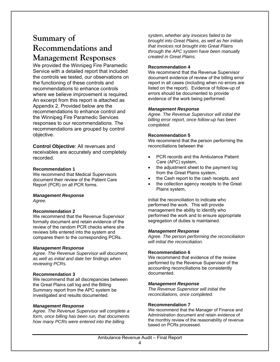### **Summary of Recommendations and**

### **Management Responses**

We provided the Winnipeg Fire Paramedic Service with a detailed report that included the controls we tested, our observations on the functioning of these controls and recommendations to enhance controls where we believe improvement is required. An excerpt from this report is attached as Appendix 2. Provided below are the recommendations to enhance control and the Winnipeg Fire Paramedic Services responses to our recommendations. The recommendations are grouped by control objective.

**Control Objective**: All revenues and receivables are accurately and completely recorded.

#### **Recommendation 1**

We recommend that Medical Supervisors document their review of the Patient Care Report (PCR) on all PCR forms.

#### *Management Response*

*Agree.* 

#### **Recommendation 2**

We recommend that the Revenue Supervisor formally document and retain evidence of the review of the random PCR checks where she reviews bills entered into the system and compares them to the corresponding PCRs.

#### *Management Response*

*Agree. The Revenue Supervisor will document, as well as initial and date her findings when reviewing PCRs.* 

#### **Recommendation 3**

We recommend that all discrepancies between the Great Plains call log and the Billing Summary report from the APC system be investigated and results documented.

#### *Management Response*

*Agree. The Revenue Supervisor will complete a form, once billing has been run, that documents how many PCRs were entered into the billing*

*system, whether any invoices failed to be brought into Great Plains, as well as her initials that invoices not brought into Great Plains through the APC system have been manually created in Great Plains.* 

#### **Recommendation 4**

We recommend that the Revenue Supervisor document evidence of review of the billing error report in all cases (including when no errors are listed on the report). Evidence of follow-up of errors should be documented to provide evidence of the work being performed.

#### *Management Response*

*Agree. The Revenue Supervisor will initial the billing error report, once follow-up has been completed.*

#### **Recommendation 5**

We recommend that the person performing the reconciliations between the

- PCR records and the Ambulance Patient Care (APC) system,
- the adjustment sheet to the payment log from the Great Plains system,
- the Cash report to the cash receipts, and
- the collection agency receipts to the Great Plains system,

initial the reconciliation to indicate who performed the work. This will provide management the ability to identify who performed the work and to ensure appropriate segregation of duties is maintained.

#### *Management Response*

*Agree. The person performing the reconciliation will initial the reconciliation.* 

#### **Recommendation 6**

We recommend that evidence of the review performed by the Revenue Supervisor of the accounting reconciliations be consistently documented.

#### *Management Response*

*The Revenue Supervisor will initial the reconciliations, once completed.*

#### **Recommendation 7**

We recommend that the Manager of Finance and Administration document and retain evidence of the monthly review of the reasonability of revenue based on PCRs processed.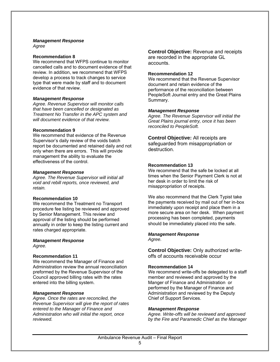#### *Management Response Agree*

#### **Recommendation 8**

We recommend that WFPS continue to monitor cancelled calls and to document evidence of that review. In addition, we recommend that WFPS develop a process to track changes to service type that were made by staff and to document evidence of that review.

#### *Management Response*

*Agree. Revenue Supervisor will monitor calls that have been cancelled or designated as Treatment No Transfer in the APC system and will document evidence of that review.* 

#### **Recommendation 9**

We recommend that evidence of the Revenue Supervisor's daily review of the voids batch report be documented and retained daily and not only when there are errors. This will provide management the ability to evaluate the effectiveness of the control.

#### *Management Response*

*Agree. The Revenue Supervisor will initial all void and rebill reports, once reviewed, and retain.*

#### **Recommendation 10**

We recommend the Treatment no Transport procedure fee listing be reviewed and approved by Senior Management. This review and approval of the listing should be performed annually in order to keep the listing current and rates charged appropriate.

#### *Management Response*

*Agree.* 

#### **Recommendation 11**

We recommend the Manager of Finance and Administration review the annual reconciliation preformed by the Revenue Supervisor of the Council approved billing rates with the rates entered into the billing system.

#### *Management Response*

*Agree. Once the rates are reconciled, the Revenue Supervisor will give the report of rates entered to the Manager of Finance and Administration who will initial the report, once reviewed.*

**Control Objective:** Revenue and receipts are recorded in the appropriate GL accounts.

#### **Recommendation 12**

We recommend that the Revenue Supervisor document and retain evidence of the performance of the reconciliation between PeopleSoft Journal entry and the Great Plains Summary.

#### *Management Response*

*Agree. The Revenue Supervisor will initial the Great Plains journal entry, once it has been reconciled to PeopleSoft.*

**Control Objective:** All receipts are safeguarded from misappropriation or destruction.

#### **Recommendation 13**

We recommend that the safe be locked at all times when the Senior Payment Clerk is not at her desk in order to limit the risk of misappropriation of receipts.

We also recommend that the Clerk Typist take the payments received by mail out of her in-box immediately upon receipt and place them in a more secure area on her desk. When payment processing has been completed, payments should be immediately placed into the safe.

#### *Management Response Agree.*

**Control Objective:** Only authorized writeoffs of accounts receivable occur

#### **Recommendation 14**

We recommend write-offs be delegated to a staff member and reviewed and approved by the Manger of Finance and Administration or performed by the Manager of Finance and Administration and reviewed by the Deputy Chief of Support Services.

#### *Management Response*

*Agree. Write-offs will be reviewed and approved by the Fire and Paramedic Chief as the Manager*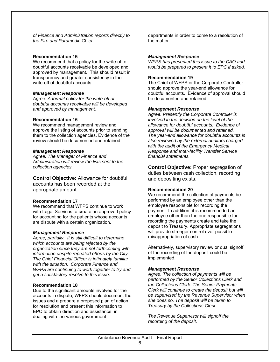*of Finance and Administration reports directly to the Fire and Paramedic Chief.* 

#### **Recommendation 15**

We recommend that a policy for the write-off of doubtful accounts receivable be developed and approved by management. This should result in transparency and greater consistency in the write-off of doubtful accounts.

#### *Management Response*

*Agree. A formal policy for the write-off of doubtful accounts receivable will be developed and approved by management.* 

#### **Recommendation 16**

We recommend management review and approve the listing of accounts prior to sending them to the collection agencies. Evidence of the review should be documented and retained.

#### *Management Response*

*Agree. The Manager of Finance and Administration will review the lists sent to the collection agencies* 

**Control Objective:** Allowance for doubtful accounts has been recorded at the appropriate amount.

#### **Recommendation 17**

We recommend that WFPS continue to work with Legal Services to create an approved policy for accounting for the patients whose accounts are dispute with a certain organization.

#### *Management Response*

*Agree, partially. It is still difficult to determine which accounts are being rejected by the organization since they are not forthcoming with information despite repeated efforts by the City. The Chief Financial Officer is intimately familiar with the situation. Corporate Finance and WFPS are continuing to work together to try and get a satisfactory resolve to this issue.* 

#### **Recommendation 18**

Due to the significant amounts involved for the accounts in dispute, WFPS should document the issues and a prepare a proposed plan of action for resolution and present this information to EPC to obtain direction and assistance in dealing with the various government

departments in order to come to a resolution of the matter.

#### *Management Response*

*WFPS has presented this issue to the CAO and would be prepared to present it to EPC if asked.*

#### **Recommendation 19**

The Chief of WFPS or the Corporate Controller should approve the year-end allowance for doubtful accounts. Evidence of approval should be documented and retained.

#### *Management Response*

*Agree. Presently the Corporate Controller is involved in the decision on the level of the allowance for doubtful accounts. Evidence of approval will be documented and retained. The year-end allowance for doubtful accounts is also reviewed by the external auditors charged with the audit of the Emergency Medical Response and Inter-facility Transfer Service financial statements.* 

**Control Objective:** Proper segregation of duties between cash collection, recording and depositing exists.

#### **Recommendation 20**

We recommend the collection of payments be performed by an employee other than the employee responsible for recording the payment. In addition, it is recommended an employee other than the one responsible for recording the payments create and take the deposit to Treasury. Appropriate segregations will provide stronger control over possible misappropriation of cash.

Alternatively, supervisory review or dual signoff of the recording of the deposit could be implemented.

#### *Management Response*

*Agree. The collection of payments will be performed by the Senior Collections Clerk and the Collections Clerk. The Senior Payments Clerk will continue to create the deposit but will be supervised by the Revenue Supervisor when she does so. The deposit will be taken to Treasury by the Collections Clerk.* 

*The Revenue Supervisor will signoff the recording of the deposit.*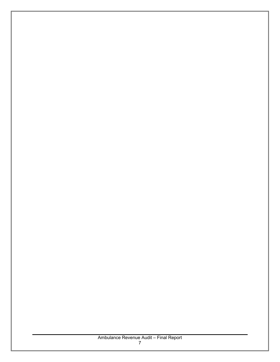#### Ambulance Revenue Audit – Final Report

7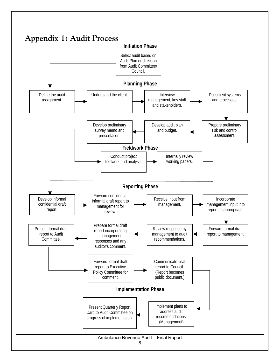